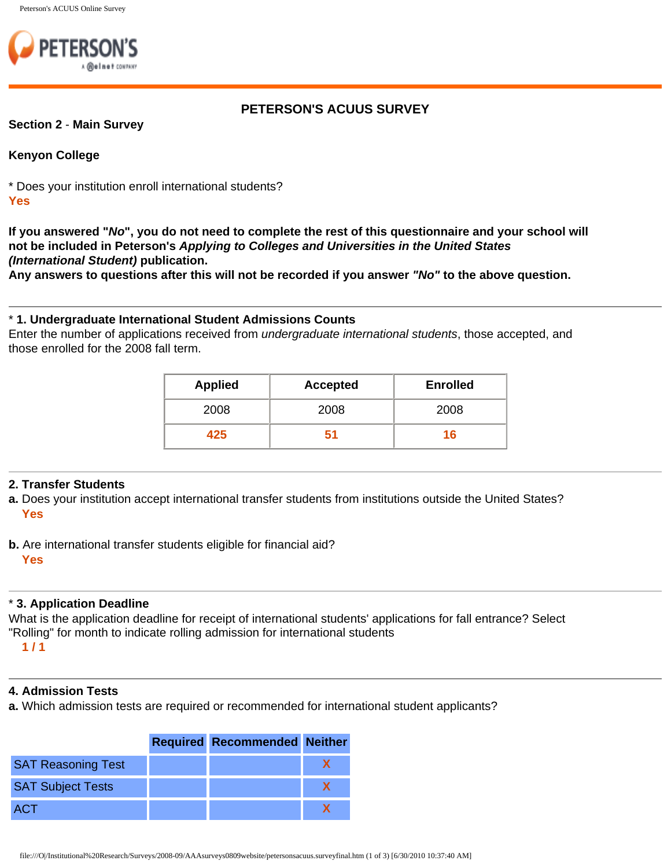

# **PETERSON'S ACUUS SURVEY**

#### **Section 2** - **Main Survey**

#### **Kenyon College**

\* Does your institution enroll international students? **Yes**

**If you answered "***No***", you do not need to complete the rest of this questionnaire and your school will not be included in Peterson's** *Applying to Colleges and Universities in the United States (International Student)* **publication.** 

**Any answers to questions after this will not be recorded if you answer** *"No"* **to the above question.**

### \* **1. Undergraduate International Student Admissions Counts**

Enter the number of applications received from *undergraduate international students*, those accepted, and those enrolled for the 2008 fall term.

| <b>Applied</b> | <b>Accepted</b> | <b>Enrolled</b> |
|----------------|-----------------|-----------------|
| 2008           | 2008            | 2008            |
| 425            | 51              | 16              |

### **2. Transfer Students**

**a.** Does your institution accept international transfer students from institutions outside the United States? **Yes**

**b.** Are international transfer students eligible for financial aid?

#### **Yes**

### \* **3. Application Deadline**

What is the application deadline for receipt of international students' applications for fall entrance? Select "Rolling" for month to indicate rolling admission for international students **1 / 1**

### **4. Admission Tests**

**a.** Which admission tests are required or recommended for international student applicants?

|                           | <b>Required Recommended Neither</b> |  |
|---------------------------|-------------------------------------|--|
| <b>SAT Reasoning Test</b> |                                     |  |
| <b>SAT Subject Tests</b>  |                                     |  |
| <b>ACT</b>                |                                     |  |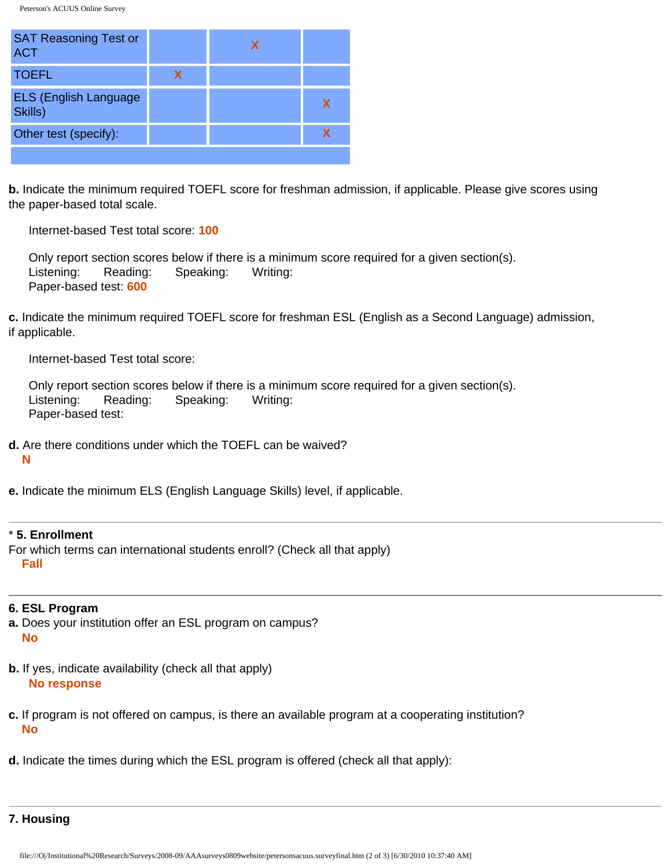Peterson's ACUUS Online Survey

| <b>SAT Reasoning Test or</b><br><b>ACT</b> |   |             |
|--------------------------------------------|---|-------------|
| <b>TOEFL</b>                               | х |             |
| <b>ELS (English Language</b><br>Skills)    |   | $\mathbf x$ |
| Other test (specify):                      |   |             |
|                                            |   |             |

**b.** Indicate the minimum required TOEFL score for freshman admission, if applicable. Please give scores using the paper-based total scale.

Internet-based Test total score: **100**

 Only report section scores below if there is a minimum score required for a given section(s). Listening: Reading: Speaking: Writing: Paper-based test: **600**

**c.** Indicate the minimum required TOEFL score for freshman ESL (English as a Second Language) admission, if applicable.

Internet-based Test total score:

|                   |                               | Only report section scores below if there is a minimum score required for a given section(s). |  |
|-------------------|-------------------------------|-----------------------------------------------------------------------------------------------|--|
|                   | Listening: Reading: Speaking: | Writing:                                                                                      |  |
| Paper-based test: |                               |                                                                                               |  |

**d.** Are there conditions under which the TOEFL can be waived?

**N**

**e.** Indicate the minimum ELS (English Language Skills) level, if applicable.

#### \* **5. Enrollment**

For which terms can international students enroll? (Check all that apply) **Fall**

### **6. ESL Program**

- **a.** Does your institution offer an ESL program on campus? **No**
- **b.** If yes, indicate availability (check all that apply) **No response**
- **c.** If program is not offered on campus, is there an available program at a cooperating institution? **No**
- **d.** Indicate the times during which the ESL program is offered (check all that apply):

**7. Housing**